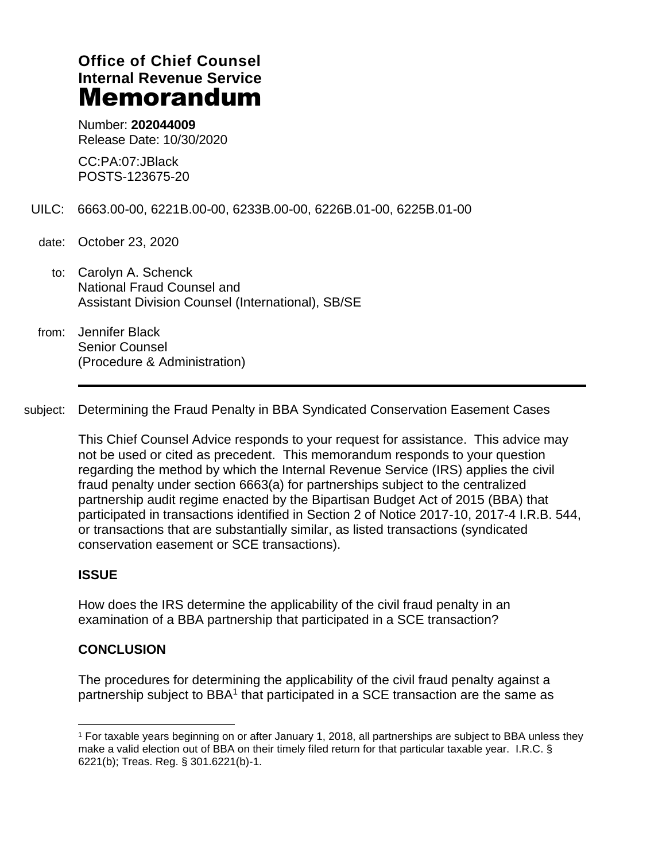# **Office of Chief Counsel Internal Revenue Service** Memorandum

Number: **202044009** Release Date: 10/30/2020

CC:PA:07:JBlack POSTS-123675-20

- UILC: 6663.00-00, 6221B.00-00, 6233B.00-00, 6226B.01-00, 6225B.01-00
- date: October 23, 2020
	- to: Carolyn A. Schenck National Fraud Counsel and Assistant Division Counsel (International), SB/SE
- from: Jennifer Black Senior Counsel (Procedure & Administration)

subject: Determining the Fraud Penalty in BBA Syndicated Conservation Easement Cases

This Chief Counsel Advice responds to your request for assistance. This advice may not be used or cited as precedent. This memorandum responds to your question regarding the method by which the Internal Revenue Service (IRS) applies the civil fraud penalty under section 6663(a) for partnerships subject to the centralized partnership audit regime enacted by the Bipartisan Budget Act of 2015 (BBA) that participated in transactions identified in Section 2 of Notice 2017-10, 2017-4 I.R.B. 544, or transactions that are substantially similar, as listed transactions (syndicated conservation easement or SCE transactions).

#### **ISSUE**

How does the IRS determine the applicability of the civil fraud penalty in an examination of a BBA partnership that participated in a SCE transaction?

#### **CONCLUSION**

The procedures for determining the applicability of the civil fraud penalty against a partnership subject to BBA<sup>1</sup> that participated in a SCE transaction are the same as

<sup>1</sup> For taxable years beginning on or after January 1, 2018, all partnerships are subject to BBA unless they make a valid election out of BBA on their timely filed return for that particular taxable year. I.R.C. § 6221(b); Treas. Reg. § 301.6221(b)-1.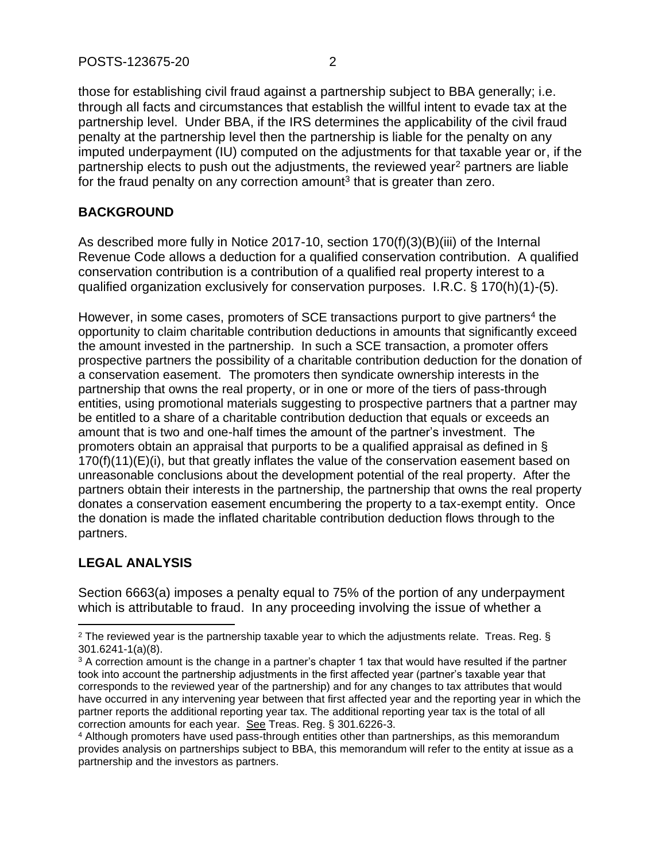those for establishing civil fraud against a partnership subject to BBA generally; i.e. through all facts and circumstances that establish the willful intent to evade tax at the partnership level. Under BBA, if the IRS determines the applicability of the civil fraud penalty at the partnership level then the partnership is liable for the penalty on any imputed underpayment (IU) computed on the adjustments for that taxable year or, if the partnership elects to push out the adjustments, the reviewed year<sup>2</sup> partners are liable for the fraud penalty on any correction amount<sup>3</sup> that is greater than zero.

### **BACKGROUND**

As described more fully in Notice 2017-10, section 170(f)(3)(B)(iii) of the Internal Revenue Code allows a deduction for a qualified conservation contribution. A qualified conservation contribution is a contribution of a qualified real property interest to a qualified organization exclusively for conservation purposes. I.R.C. § 170(h)(1)-(5).

However, in some cases, promoters of SCE transactions purport to give partners<sup>4</sup> the opportunity to claim charitable contribution deductions in amounts that significantly exceed the amount invested in the partnership. In such a SCE transaction, a promoter offers prospective partners the possibility of a charitable contribution deduction for the donation of a conservation easement. The promoters then syndicate ownership interests in the partnership that owns the real property, or in one or more of the tiers of pass-through entities, using promotional materials suggesting to prospective partners that a partner may be entitled to a share of a charitable contribution deduction that equals or exceeds an amount that is two and one-half times the amount of the partner's investment. The promoters obtain an appraisal that purports to be a qualified appraisal as defined in § 170(f)(11)(E)(i), but that greatly inflates the value of the conservation easement based on unreasonable conclusions about the development potential of the real property. After the partners obtain their interests in the partnership, the partnership that owns the real property donates a conservation easement encumbering the property to a tax-exempt entity. Once the donation is made the inflated charitable contribution deduction flows through to the partners.

## **LEGAL ANALYSIS**

Section 6663(a) imposes a penalty equal to 75% of the portion of any underpayment which is attributable to fraud. In any proceeding involving the issue of whether a

<sup>&</sup>lt;sup>2</sup> The reviewed year is the partnership taxable year to which the adjustments relate. Treas. Reg. § 301.6241-1(a)(8).

<sup>&</sup>lt;sup>3</sup> A correction amount is the change in a partner's chapter 1 tax that would have resulted if the partner took into account the partnership adjustments in the first affected year (partner's taxable year that corresponds to the reviewed year of the partnership) and for any changes to tax attributes that would have occurred in any intervening year between that first affected year and the reporting year in which the partner reports the additional reporting year tax. The additional reporting year tax is the total of all correction amounts for each year. See Treas. Reg. § 301.6226-3.

<sup>4</sup> Although promoters have used pass-through entities other than partnerships, as this memorandum provides analysis on partnerships subject to BBA, this memorandum will refer to the entity at issue as a partnership and the investors as partners.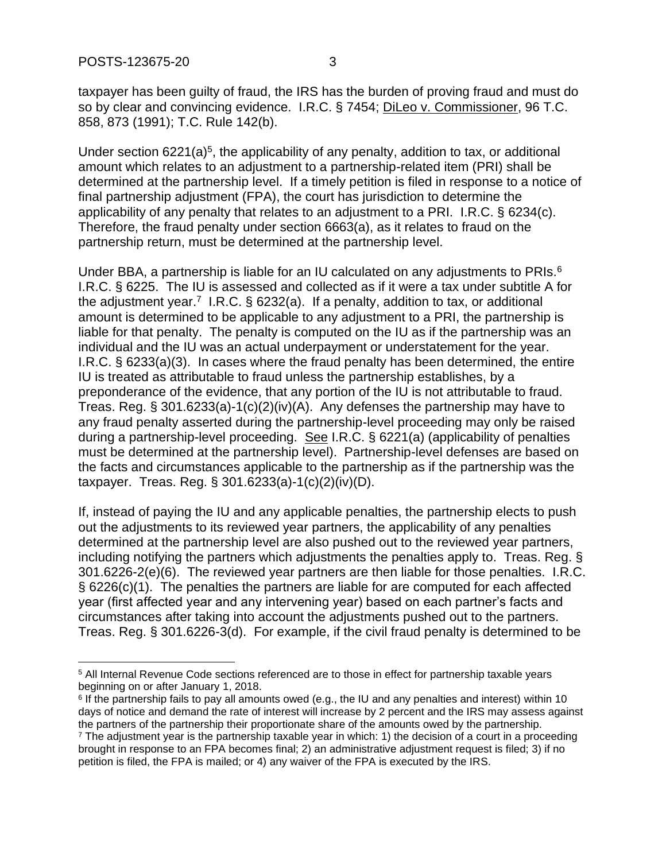taxpayer has been guilty of fraud, the IRS has the burden of proving fraud and must do so by clear and convincing evidence. I.R.C. § 7454; Dileo v. Commissioner, 96 T.C. 858, 873 (1991); T.C. Rule 142(b).

Under section  $6221(a)^5$ , the applicability of any penalty, addition to tax, or additional amount which relates to an adjustment to a partnership-related item (PRI) shall be determined at the partnership level. If a timely petition is filed in response to a notice of final partnership adjustment (FPA), the court has jurisdiction to determine the applicability of any penalty that relates to an adjustment to a PRI. I.R.C. § 6234(c). Therefore, the fraud penalty under section 6663(a), as it relates to fraud on the partnership return, must be determined at the partnership level.

Under BBA, a partnership is liable for an IU calculated on any adjustments to PRIs. $6$ I.R.C. § 6225. The IU is assessed and collected as if it were a tax under subtitle A for the adjustment year.<sup>7</sup> I.R.C. § 6232(a). If a penalty, addition to tax, or additional amount is determined to be applicable to any adjustment to a PRI, the partnership is liable for that penalty. The penalty is computed on the IU as if the partnership was an individual and the IU was an actual underpayment or understatement for the year. I.R.C. § 6233(a)(3). In cases where the fraud penalty has been determined, the entire IU is treated as attributable to fraud unless the partnership establishes, by a preponderance of the evidence, that any portion of the IU is not attributable to fraud. Treas. Reg. § 301.6233(a)-1(c)(2)(iv)(A). Any defenses the partnership may have to any fraud penalty asserted during the partnership-level proceeding may only be raised during a partnership-level proceeding. See I.R.C. § 6221(a) (applicability of penalties must be determined at the partnership level). Partnership-level defenses are based on the facts and circumstances applicable to the partnership as if the partnership was the taxpayer. Treas. Reg. § 301.6233(a)-1(c)(2)(iv)(D).

If, instead of paying the IU and any applicable penalties, the partnership elects to push out the adjustments to its reviewed year partners, the applicability of any penalties determined at the partnership level are also pushed out to the reviewed year partners, including notifying the partners which adjustments the penalties apply to. Treas. Reg. § 301.6226-2(e)(6). The reviewed year partners are then liable for those penalties. I.R.C. § 6226(c)(1). The penalties the partners are liable for are computed for each affected year (first affected year and any intervening year) based on each partner's facts and circumstances after taking into account the adjustments pushed out to the partners. Treas. Reg. § 301.6226-3(d). For example, if the civil fraud penalty is determined to be

<sup>5</sup> All Internal Revenue Code sections referenced are to those in effect for partnership taxable years beginning on or after January 1, 2018.

<sup>6</sup> If the partnership fails to pay all amounts owed (e.g., the IU and any penalties and interest) within 10 days of notice and demand the rate of interest will increase by 2 percent and the IRS may assess against the partners of the partnership their proportionate share of the amounts owed by the partnership. <sup>7</sup> The adjustment year is the partnership taxable year in which: 1) the decision of a court in a proceeding brought in response to an FPA becomes final; 2) an administrative adjustment request is filed; 3) if no petition is filed, the FPA is mailed; or 4) any waiver of the FPA is executed by the IRS.